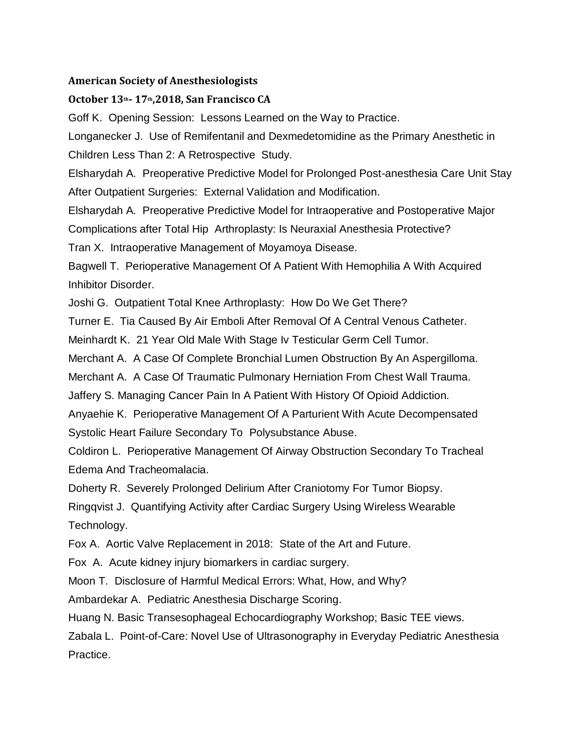### **American Society of Anesthesiologists**

### **October 13th- 17th,2018, San Francisco CA**

Goff K. Opening Session: Lessons Learned on the Way to Practice.

Longanecker J. Use of Remifentanil and Dexmedetomidine as the Primary Anesthetic in Children Less Than 2: A Retrospective Study.

Elsharydah A. Preoperative Predictive Model for Prolonged Post-anesthesia Care Unit Stay After Outpatient Surgeries: External Validation and Modification.

Elsharydah A. Preoperative Predictive Model for Intraoperative and Postoperative Major

Complications after Total Hip Arthroplasty: Is Neuraxial Anesthesia Protective?

Tran X. Intraoperative Management of Moyamoya Disease.

Bagwell T. Perioperative Management Of A Patient With Hemophilia A With Acquired Inhibitor Disorder.

Joshi G. Outpatient Total Knee Arthroplasty: How Do We Get There?

Turner E. Tia Caused By Air Emboli After Removal Of A Central Venous Catheter.

Meinhardt K. 21 Year Old Male With Stage Iv Testicular Germ Cell Tumor.

Merchant A. A Case Of Complete Bronchial Lumen Obstruction By An Aspergilloma.

Merchant A. A Case Of Traumatic Pulmonary Herniation From Chest Wall Trauma.

Jaffery S. Managing Cancer Pain In A Patient With History Of Opioid Addiction.

Anyaehie K. Perioperative Management Of A Parturient With Acute Decompensated Systolic Heart Failure Secondary To Polysubstance Abuse.

Coldiron L. Perioperative Management Of Airway Obstruction Secondary To Tracheal Edema And Tracheomalacia.

Doherty R. Severely Prolonged Delirium After Craniotomy For Tumor Biopsy.

Ringqvist J. Quantifying Activity after Cardiac Surgery Using Wireless Wearable Technology.

Fox A. Aortic Valve Replacement in 2018: State of the Art and Future.

Fox A. Acute kidney injury biomarkers in cardiac surgery.

Moon T. Disclosure of Harmful Medical Errors: What, How, and Why?

Ambardekar A. Pediatric Anesthesia Discharge Scoring.

Huang N. Basic Transesophageal Echocardiography Workshop; Basic TEE views.

Zabala L. Point-of-Care: Novel Use of Ultrasonography in Everyday Pediatric Anesthesia Practice.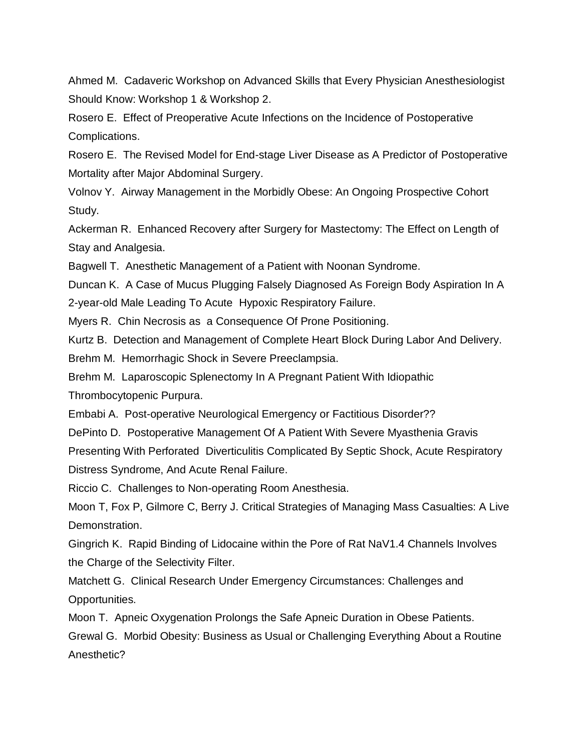Ahmed M. Cadaveric Workshop on Advanced Skills that Every Physician Anesthesiologist Should Know: Workshop 1 & Workshop 2.

Rosero E. Effect of Preoperative Acute Infections on the Incidence of Postoperative Complications.

Rosero E. The Revised Model for End-stage Liver Disease as A Predictor of Postoperative Mortality after Major Abdominal Surgery.

Volnov Y. Airway Management in the Morbidly Obese: An Ongoing Prospective Cohort Study.

Ackerman R. Enhanced Recovery after Surgery for Mastectomy: The Effect on Length of Stay and Analgesia.

Bagwell T. Anesthetic Management of a Patient with Noonan Syndrome.

Duncan K. A Case of Mucus Plugging Falsely Diagnosed As Foreign Body Aspiration In A 2-year-old Male Leading To Acute Hypoxic Respiratory Failure.

Myers R. Chin Necrosis as a Consequence Of Prone Positioning.

Kurtz B. Detection and Management of Complete Heart Block During Labor And Delivery.

Brehm M. Hemorrhagic Shock in Severe Preeclampsia.

Brehm M. Laparoscopic Splenectomy In A Pregnant Patient With Idiopathic

Thrombocytopenic Purpura.

Embabi A. Post-operative Neurological Emergency or Factitious Disorder??

DePinto D. Postoperative Management Of A Patient With Severe Myasthenia Gravis

Presenting With Perforated Diverticulitis Complicated By Septic Shock, Acute Respiratory Distress Syndrome, And Acute Renal Failure.

Riccio C. Challenges to Non-operating Room Anesthesia.

Moon T, Fox P, Gilmore C, Berry J. Critical Strategies of Managing Mass Casualties: A Live Demonstration.

Gingrich K. Rapid Binding of Lidocaine within the Pore of Rat NaV1.4 Channels Involves the Charge of the Selectivity Filter.

Matchett G. Clinical Research Under Emergency Circumstances: Challenges and Opportunities.

Moon T. Apneic Oxygenation Prolongs the Safe Apneic Duration in Obese Patients.

Grewal G. Morbid Obesity: Business as Usual or Challenging Everything About a Routine Anesthetic?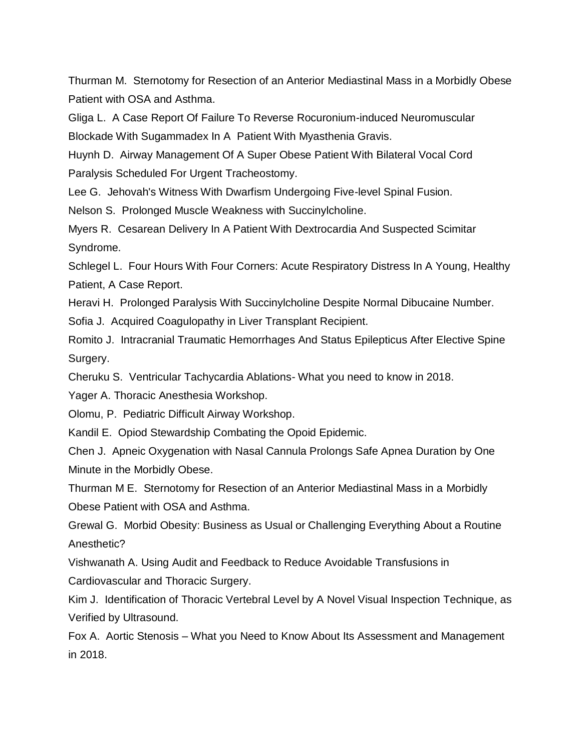Thurman M. Sternotomy for Resection of an Anterior Mediastinal Mass in a Morbidly Obese Patient with OSA and Asthma.

Gliga L. A Case Report Of Failure To Reverse Rocuronium-induced Neuromuscular Blockade With Sugammadex In A Patient With Myasthenia Gravis.

Huynh D. Airway Management Of A Super Obese Patient With Bilateral Vocal Cord Paralysis Scheduled For Urgent Tracheostomy.

Lee G. Jehovah's Witness With Dwarfism Undergoing Five-level Spinal Fusion.

Nelson S. Prolonged Muscle Weakness with Succinylcholine.

Myers R. Cesarean Delivery In A Patient With Dextrocardia And Suspected Scimitar Syndrome.

Schlegel L. Four Hours With Four Corners: Acute Respiratory Distress In A Young, Healthy Patient, A Case Report.

Heravi H. Prolonged Paralysis With Succinylcholine Despite Normal Dibucaine Number.

Sofia J. Acquired Coagulopathy in Liver Transplant Recipient.

Romito J. Intracranial Traumatic Hemorrhages And Status Epilepticus After Elective Spine Surgery.

Cheruku S. Ventricular Tachycardia Ablations- What you need to know in 2018.

Yager A. Thoracic Anesthesia Workshop.

Olomu, P. Pediatric Difficult Airway Workshop.

Kandil E. Opiod Stewardship Combating the Opoid Epidemic.

Chen J. Apneic Oxygenation with Nasal Cannula Prolongs Safe Apnea Duration by One Minute in the Morbidly Obese.

Thurman M E. Sternotomy for Resection of an Anterior Mediastinal Mass in a Morbidly Obese Patient with OSA and Asthma.

Grewal G. Morbid Obesity: Business as Usual or Challenging Everything About a Routine Anesthetic?

Vishwanath A. Using Audit and Feedback to Reduce Avoidable Transfusions in

Cardiovascular and Thoracic Surgery.

Kim J. Identification of Thoracic Vertebral Level by A Novel Visual Inspection Technique, as Verified by Ultrasound.

Fox A. Aortic Stenosis – What you Need to Know About Its Assessment and Management in 2018.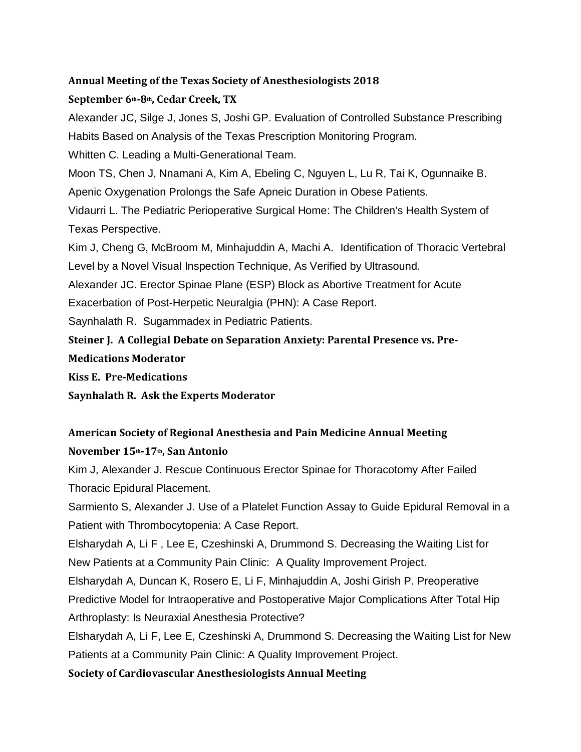### **Annual Meeting of the Texas Society of Anesthesiologists 2018**

## **September 6th-8th, Cedar Creek, TX**

Alexander JC, Silge J, Jones S, Joshi GP. Evaluation of Controlled Substance Prescribing Habits Based on Analysis of the Texas Prescription Monitoring Program. Whitten C. Leading a Multi-Generational Team.

Moon TS, Chen J, Nnamani A, Kim A, Ebeling C, Nguyen L, Lu R, Tai K, Ogunnaike B.

Apenic Oxygenation Prolongs the Safe Apneic Duration in Obese Patients.

Vidaurri L. The Pediatric Perioperative Surgical Home: The Children's Health System of Texas Perspective.

Kim J, Cheng G, McBroom M, Minhajuddin A, Machi A. Identification of Thoracic Vertebral Level by a Novel Visual Inspection Technique, As Verified by Ultrasound.

Alexander JC. Erector Spinae Plane (ESP) Block as Abortive Treatment for Acute

Exacerbation of Post-Herpetic Neuralgia (PHN): A Case Report.

Saynhalath R. Sugammadex in Pediatric Patients.

**Steiner J. A Collegial Debate on Separation Anxiety: Parental Presence vs. Pre-**

**Medications Moderator**

**Kiss E. Pre-Medications**

**Saynhalath R. Ask the Experts Moderator**

# **American Society of Regional Anesthesia and Pain Medicine Annual Meeting November 15th-17th, San Antonio**

Kim J, Alexander J. Rescue Continuous Erector Spinae for Thoracotomy After Failed Thoracic Epidural Placement.

Sarmiento S, Alexander J. Use of a Platelet Function Assay to Guide Epidural Removal in a Patient with Thrombocytopenia: A Case Report.

Elsharydah A, Li F , Lee E, Czeshinski A, Drummond S. Decreasing the Waiting List for New Patients at a Community Pain Clinic: A Quality Improvement Project.

Elsharydah A, Duncan K, Rosero E, Li F, Minhajuddin A, Joshi Girish P. Preoperative

Predictive Model for Intraoperative and Postoperative Major Complications After Total Hip Arthroplasty: Is Neuraxial Anesthesia Protective?

Elsharydah A, Li F, Lee E, Czeshinski A, Drummond S. Decreasing the Waiting List for New Patients at a Community Pain Clinic: A Quality Improvement Project.

**Society of Cardiovascular Anesthesiologists Annual Meeting**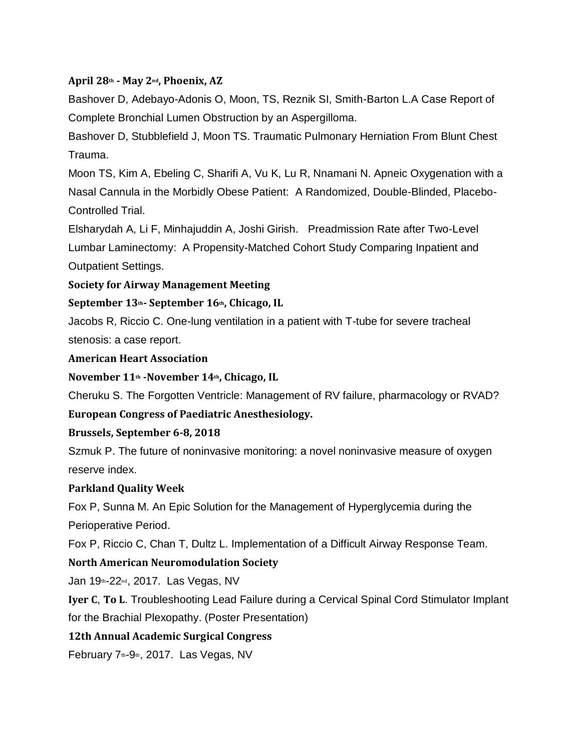# **April 28th - May 2nd, Phoenix, AZ**

Bashover D, Adebayo-Adonis O, Moon, TS, Reznik SI, Smith-Barton L.A Case Report of Complete Bronchial Lumen Obstruction by an Aspergilloma.

Bashover D, Stubblefield J, Moon TS. Traumatic Pulmonary Herniation From Blunt Chest Trauma.

Moon TS, Kim A, Ebeling C, Sharifi A, Vu K, Lu R, Nnamani N. Apneic Oxygenation with a Nasal Cannula in the Morbidly Obese Patient: A Randomized, Double-Blinded, Placebo-Controlled Trial.

Elsharydah A, Li F, Minhajuddin A, Joshi Girish. Preadmission Rate after Two-Level Lumbar Laminectomy: A Propensity-Matched Cohort Study Comparing Inpatient and Outpatient Settings.

### **Society for Airway Management Meeting**

### **September 13th- September 16th, Chicago, IL**

Jacobs R, Riccio C. One-lung ventilation in a patient with T-tube for severe tracheal stenosis: a case report.

#### **American Heart Association**

### **November 11th -November 14th, Chicago, IL**

Cheruku S. The Forgotten Ventricle: Management of RV failure, pharmacology or RVAD?

### **European Congress of Paediatric Anesthesiology.**

### **Brussels, September 6-8, 2018**

Szmuk P. The future of noninvasive monitoring: a novel noninvasive measure of oxygen reserve index.

#### **Parkland Quality Week**

Fox P, Sunna M. An Epic Solution for the Management of Hyperglycemia during the Perioperative Period.

Fox P, Riccio C, Chan T, Dultz L. Implementation of a Difficult Airway Response Team.

### **North American Neuromodulation Society**

Jan 19th-22nd, 2017. Las Vegas, NV

**Iyer C**, **To L**. Troubleshooting Lead Failure during a Cervical Spinal Cord Stimulator Implant for the Brachial Plexopathy. (Poster Presentation)

### **12th Annual Academic Surgical Congress**

February 7th-9th, 2017. Las Vegas, NV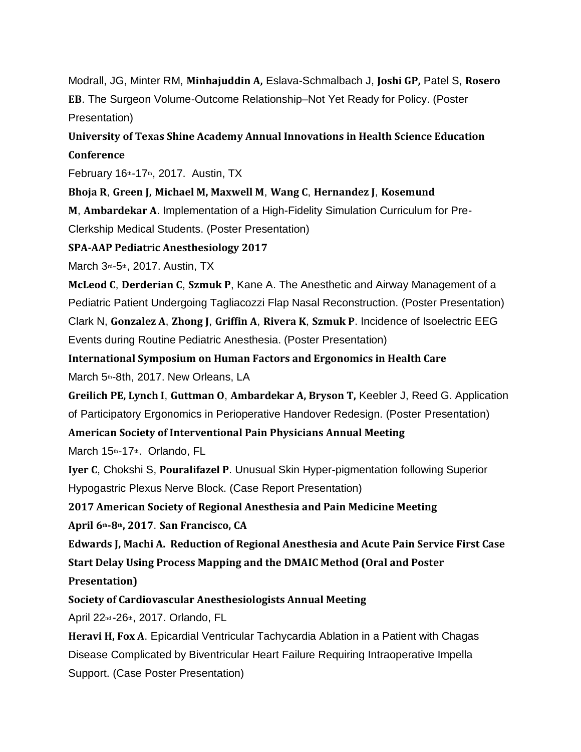Modrall, JG, Minter RM, **Minhajuddin A,** Eslava-Schmalbach J, **Joshi GP,** Patel S, **Rosero EB**. The Surgeon Volume-Outcome Relationship–Not Yet Ready for Policy. (Poster Presentation)

**University of Texas Shine Academy Annual Innovations in Health Science Education Conference**

February  $16<sup>th-17th</sup>$ , 2017. Austin, TX

**Bhoja R**, **Green J, Michael M, Maxwell M**, **Wang C**, **Hernandez J**, **Kosemund**

**M**, **Ambardekar A**. Implementation of a High-Fidelity Simulation Curriculum for Pre-Clerkship Medical Students. (Poster Presentation)

**SPA-AAP Pediatric Anesthesiology 2017**

March 3rd-5th, 2017. Austin, TX

**McLeod C**, **Derderian C**, **Szmuk P**, Kane A. The Anesthetic and Airway Management of a Pediatric Patient Undergoing Tagliacozzi Flap Nasal Reconstruction. (Poster Presentation) Clark N, **Gonzalez A**, **Zhong J**, **Griffin A**, **Rivera K**, **Szmuk P**. Incidence of Isoelectric EEG Events during Routine Pediatric Anesthesia. (Poster Presentation)

**International Symposium on Human Factors and Ergonomics in Health Care**

March 5th-8th, 2017. New Orleans, LA

**Greilich PE, Lynch I**, **Guttman O**, **Ambardekar A, Bryson T,** Keebler J, Reed G. Application of Participatory Ergonomics in Perioperative Handover Redesign. (Poster Presentation)

**American Society of Interventional Pain Physicians Annual Meeting**

March 15th-17th. Orlando, FL

**Iyer C**, Chokshi S, **Pouralifazel P**. Unusual Skin Hyper-pigmentation following Superior Hypogastric Plexus Nerve Block. (Case Report Presentation)

**2017 American Society of Regional Anesthesia and Pain Medicine Meeting**

**April 6th-8th, 2017**. **San Francisco, CA**

**Edwards J, Machi A. Reduction of Regional Anesthesia and Acute Pain Service First Case Start Delay Using Process Mapping and the DMAIC Method (Oral and Poster**

**Presentation)**

**Society of Cardiovascular Anesthesiologists Annual Meeting**

April 22nd -26th, 2017. Orlando, FL

**Heravi H, Fox A**. Epicardial Ventricular Tachycardia Ablation in a Patient with Chagas Disease Complicated by Biventricular Heart Failure Requiring Intraoperative Impella Support. (Case Poster Presentation)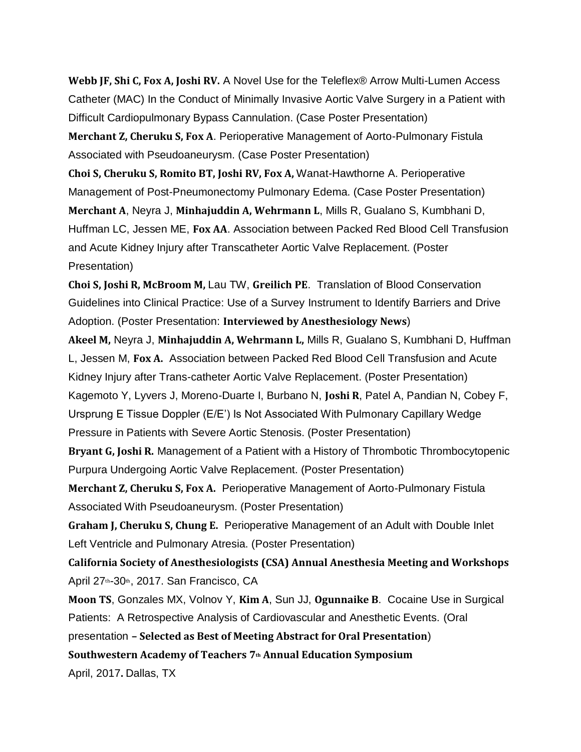**Webb JF, Shi C, Fox A, Joshi RV.** A Novel Use for the Teleflex® Arrow Multi-Lumen Access Catheter (MAC) In the Conduct of Minimally Invasive Aortic Valve Surgery in a Patient with Difficult Cardiopulmonary Bypass Cannulation. (Case Poster Presentation)

**Merchant Z, Cheruku S, Fox A**. Perioperative Management of Aorto-Pulmonary Fistula Associated with Pseudoaneurysm. (Case Poster Presentation)

**Choi S, Cheruku S, Romito BT, Joshi RV, Fox A,** Wanat-Hawthorne A. Perioperative Management of Post-Pneumonectomy Pulmonary Edema. (Case Poster Presentation) **Merchant A**, Neyra J, **Minhajuddin A, Wehrmann L**, Mills R, Gualano S, Kumbhani D, Huffman LC, Jessen ME, **Fox AA**. Association between Packed Red Blood Cell Transfusion and Acute Kidney Injury after Transcatheter Aortic Valve Replacement. (Poster Presentation)

**Choi S, Joshi R, McBroom M,** Lau TW, **Greilich PE**. Translation of Blood Conservation Guidelines into Clinical Practice: Use of a Survey Instrument to Identify Barriers and Drive Adoption. (Poster Presentation: **Interviewed by Anesthesiology News**)

**Akeel M,** Neyra J, **Minhajuddin A, Wehrmann L,** Mills R, Gualano S, Kumbhani D, Huffman L, Jessen M, **Fox A.** Association between Packed Red Blood Cell Transfusion and Acute Kidney Injury after Trans-catheter Aortic Valve Replacement. (Poster Presentation) Kagemoto Y, Lyvers J, Moreno-Duarte I, Burbano N, **Joshi R**, Patel A, Pandian N, Cobey F, Ursprung E Tissue Doppler (E/E') Is Not Associated With Pulmonary Capillary Wedge Pressure in Patients with Severe Aortic Stenosis. (Poster Presentation)

**Bryant G, Joshi R.** Management of a Patient with a History of Thrombotic Thrombocytopenic Purpura Undergoing Aortic Valve Replacement. (Poster Presentation)

**Merchant Z, Cheruku S, Fox A.** Perioperative Management of Aorto-Pulmonary Fistula Associated With Pseudoaneurysm. (Poster Presentation)

**Graham J, Cheruku S, Chung E.** Perioperative Management of an Adult with Double Inlet Left Ventricle and Pulmonary Atresia. (Poster Presentation)

**California Society of Anesthesiologists (CSA) Annual Anesthesia Meeting and Workshops** April 27<sup>th</sup>-30<sup>th</sup>, 2017. San Francisco, CA

**Moon TS**, Gonzales MX, Volnov Y, **Kim A**, Sun JJ, **Ogunnaike B**. Cocaine Use in Surgical Patients: A Retrospective Analysis of Cardiovascular and Anesthetic Events. (Oral presentation **– Selected as Best of Meeting Abstract for Oral Presentation**) **Southwestern Academy of Teachers 7th Annual Education Symposium** April, 2017**.** Dallas, TX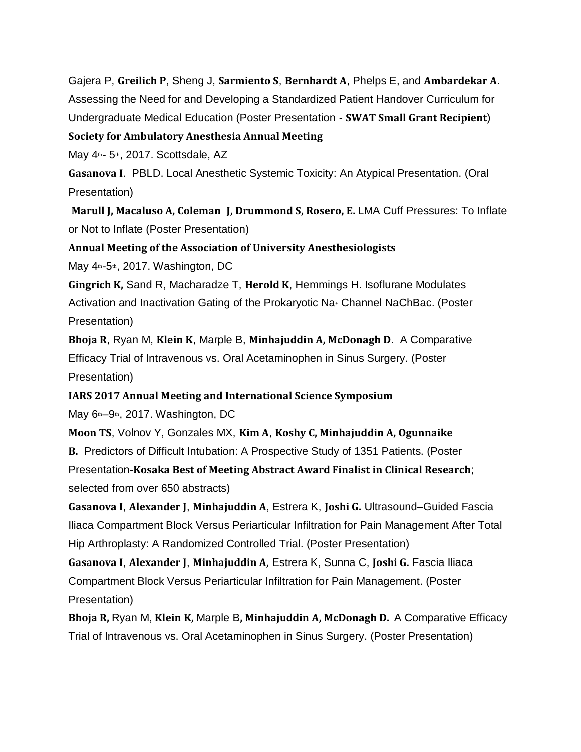Gajera P, **Greilich P**, Sheng J, **Sarmiento S**, **Bernhardt A**, Phelps E, and **Ambardekar A**. Assessing the Need for and Developing a Standardized Patient Handover Curriculum for Undergraduate Medical Education (Poster Presentation - **SWAT Small Grant Recipient**)

## **Society for Ambulatory Anesthesia Annual Meeting**

May  $4<sup>th</sup>$ - 5<sup>th</sup>, 2017. Scottsdale, AZ

**Gasanova I**. PBLD. Local Anesthetic Systemic Toxicity: An Atypical Presentation. (Oral Presentation)

**Marull J, Macaluso A, Coleman J, Drummond S, Rosero, E.** LMA Cuff Pressures: To Inflate or Not to Inflate (Poster Presentation)

**Annual Meeting of the Association of University Anesthesiologists**

May 4<sup>th-5th</sup>, 2017. Washington, DC

**Gingrich K,** Sand R, Macharadze T, **Herold K**, Hemmings H. Isoflurane Modulates Activation and Inactivation Gating of the Prokaryotic Na<sup>+</sup> Channel NaChBac. (Poster Presentation)

**Bhoja R**, Ryan M, **Klein K**, Marple B, **Minhajuddin A, McDonagh D**. A Comparative Efficacy Trial of Intravenous vs. Oral Acetaminophen in Sinus Surgery. (Poster Presentation)

**IARS 2017 Annual Meeting and International Science Symposium**

May 6<sup>th</sup>–9<sup>th</sup>, 2017. Washington, DC

**Moon TS**, Volnov Y, Gonzales MX, **Kim A**, **Koshy C, Minhajuddin A, Ogunnaike B.** Predictors of Difficult Intubation: A Prospective Study of 1351 Patients. (Poster Presentation-**Kosaka Best of Meeting Abstract Award Finalist in Clinical Research**; selected from over 650 abstracts)

**Gasanova I**, **Alexander J**, **Minhajuddin A**, Estrera K, **Joshi G.** Ultrasound–Guided Fascia Iliaca Compartment Block Versus Periarticular Infiltration for Pain Management After Total Hip Arthroplasty: A Randomized Controlled Trial. (Poster Presentation)

**Gasanova I**, **Alexander J**, **Minhajuddin A,** Estrera K, Sunna C, **Joshi G.** Fascia Iliaca Compartment Block Versus Periarticular Infiltration for Pain Management. (Poster Presentation)

**Bhoja R,** Ryan M, **Klein K,** Marple B**, Minhajuddin A, McDonagh D.** A Comparative Efficacy Trial of Intravenous vs. Oral Acetaminophen in Sinus Surgery. (Poster Presentation)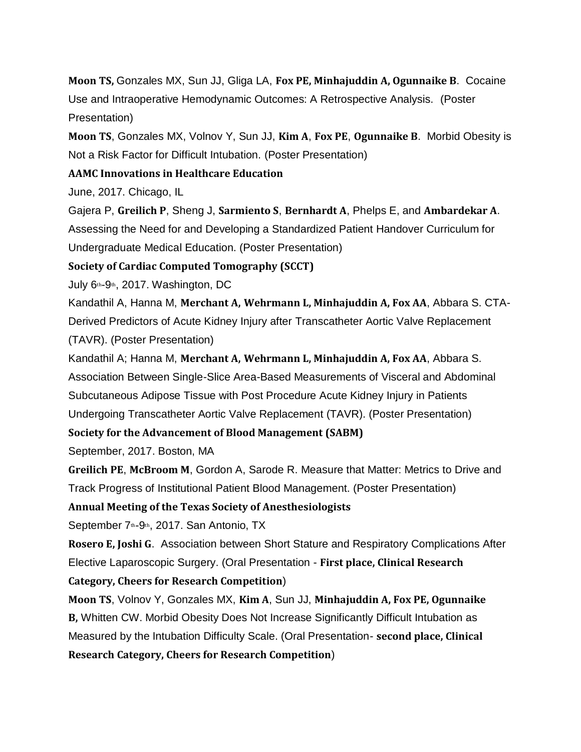**Moon TS,** Gonzales MX, Sun JJ, Gliga LA, **Fox PE, Minhajuddin A, Ogunnaike B**. Cocaine Use and Intraoperative Hemodynamic Outcomes: A Retrospective Analysis. (Poster Presentation)

**Moon TS**, Gonzales MX, Volnov Y, Sun JJ, **Kim A**, **Fox PE**, **Ogunnaike B**. Morbid Obesity is Not a Risk Factor for Difficult Intubation. (Poster Presentation)

### **AAMC Innovations in Healthcare Education**

June, 2017. Chicago, IL

Gajera P, **Greilich P**, Sheng J, **Sarmiento S**, **Bernhardt A**, Phelps E, and **Ambardekar A**. Assessing the Need for and Developing a Standardized Patient Handover Curriculum for Undergraduate Medical Education. (Poster Presentation)

**Society of Cardiac Computed Tomography (SCCT)**

July 6th-9th, 2017. Washington, DC

Kandathil A, Hanna M, **Merchant A, Wehrmann L, Minhajuddin A, Fox AA**, Abbara S. CTA-Derived Predictors of Acute Kidney Injury after Transcatheter Aortic Valve Replacement (TAVR). (Poster Presentation)

Kandathil A; Hanna M, **Merchant A, Wehrmann L, Minhajuddin A, Fox AA**, Abbara S. Association Between Single-Slice Area-Based Measurements of Visceral and Abdominal Subcutaneous Adipose Tissue with Post Procedure Acute Kidney Injury in Patients Undergoing Transcatheter Aortic Valve Replacement (TAVR). (Poster Presentation)

**Society for the Advancement of Blood Management (SABM)**

September, 2017. Boston, MA

**Greilich PE**, **McBroom M**, Gordon A, Sarode R. Measure that Matter: Metrics to Drive and Track Progress of Institutional Patient Blood Management. (Poster Presentation)

**Annual Meeting of the Texas Society of Anesthesiologists**

September 7<sup>th</sup>-9<sup>th</sup>, 2017. San Antonio, TX

**Rosero E, Joshi G**. Association between Short Stature and Respiratory Complications After Elective Laparoscopic Surgery. (Oral Presentation - **First place, Clinical Research**

#### **Category, Cheers for Research Competition**)

**Moon TS**, Volnov Y, Gonzales MX, **Kim A**, Sun JJ, **Minhajuddin A, Fox PE, Ogunnaike B,** Whitten CW. Morbid Obesity Does Not Increase Significantly Difficult Intubation as Measured by the Intubation Difficulty Scale. (Oral Presentation- **second place, Clinical Research Category, Cheers for Research Competition**)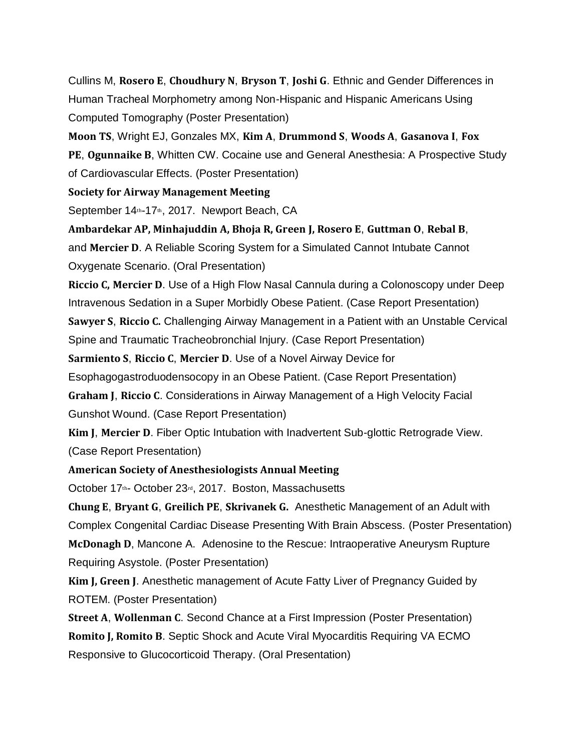Cullins M, **Rosero E**, **Choudhury N**, **Bryson T**, **Joshi G**. Ethnic and Gender Differences in Human Tracheal Morphometry among Non-Hispanic and Hispanic Americans Using Computed Tomography (Poster Presentation)

**Moon TS**, Wright EJ, Gonzales MX, **Kim A**, **Drummond S**, **Woods A**, **Gasanova I**, **Fox PE**, **Ogunnaike B**, Whitten CW. Cocaine use and General Anesthesia: A Prospective Study of Cardiovascular Effects. (Poster Presentation)

#### **Society for Airway Management Meeting**

September 14th-17th, 2017. Newport Beach, CA

**Ambardekar AP, Minhajuddin A, Bhoja R, Green J, Rosero E**, **Guttman O**, **Rebal B**, and **Mercier D**. A Reliable Scoring System for a Simulated Cannot Intubate Cannot Oxygenate Scenario. (Oral Presentation)

**Riccio C, Mercier D**. Use of a High Flow Nasal Cannula during a Colonoscopy under Deep Intravenous Sedation in a Super Morbidly Obese Patient. (Case Report Presentation) **Sawyer S**, **Riccio C.** Challenging Airway Management in a Patient with an Unstable Cervical

Spine and Traumatic Tracheobronchial Injury. (Case Report Presentation)

**Sarmiento S**, **Riccio C**, **Mercier D**. Use of a Novel Airway Device for

Esophagogastroduodensocopy in an Obese Patient. (Case Report Presentation)

**Graham J**, **Riccio C**. Considerations in Airway Management of a High Velocity Facial Gunshot Wound. (Case Report Presentation)

**Kim J**, **Mercier D**. Fiber Optic Intubation with Inadvertent Sub-glottic Retrograde View. (Case Report Presentation)

### **American Society of Anesthesiologists Annual Meeting**

October 17th- October 23rd, 2017. Boston, Massachusetts

**Chung E**, **Bryant G**, **Greilich PE**, **Skrivanek G.** Anesthetic Management of an Adult with Complex Congenital Cardiac Disease Presenting With Brain Abscess. (Poster Presentation) **McDonagh D**, Mancone A. Adenosine to the Rescue: Intraoperative Aneurysm Rupture Requiring Asystole. (Poster Presentation)

**Kim J, Green J**. Anesthetic management of Acute Fatty Liver of Pregnancy Guided by ROTEM. (Poster Presentation)

**Street A**, **Wollenman C**. Second Chance at a First Impression (Poster Presentation) **Romito J, Romito B**. Septic Shock and Acute Viral Myocarditis Requiring VA ECMO Responsive to Glucocorticoid Therapy. (Oral Presentation)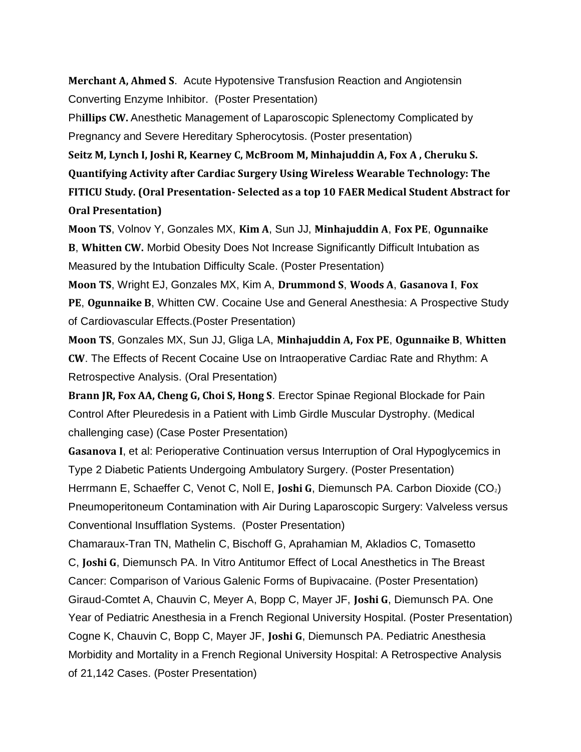**Merchant A, Ahmed S**. Acute Hypotensive Transfusion Reaction and Angiotensin Converting Enzyme Inhibitor. (Poster Presentation)

Ph**illips CW.** Anesthetic Management of Laparoscopic Splenectomy Complicated by Pregnancy and Severe Hereditary Spherocytosis. (Poster presentation)

**Seitz M, Lynch I, Joshi R, Kearney C, McBroom M, Minhajuddin A, Fox A , Cheruku S. Quantifying Activity after Cardiac Surgery Using Wireless Wearable Technology: The FITICU Study. (Oral Presentation- Selected as a top 10 FAER Medical Student Abstract for Oral Presentation)**

**Moon TS**, Volnov Y, Gonzales MX, **Kim A**, Sun JJ, **Minhajuddin A**, **Fox PE**, **Ogunnaike B**, **Whitten CW.** Morbid Obesity Does Not Increase Significantly Difficult Intubation as Measured by the Intubation Difficulty Scale. (Poster Presentation)

**Moon TS**, Wright EJ, Gonzales MX, Kim A, **Drummond S**, **Woods A**, **Gasanova I**, **Fox PE**, **Ogunnaike B**, Whitten CW. Cocaine Use and General Anesthesia: A Prospective Study of Cardiovascular Effects.(Poster Presentation)

**Moon TS**, Gonzales MX, Sun JJ, Gliga LA, **Minhajuddin A, Fox PE**, **Ogunnaike B**, **Whitten CW**. The Effects of Recent Cocaine Use on Intraoperative Cardiac Rate and Rhythm: A Retrospective Analysis. (Oral Presentation)

**Brann JR, Fox AA, Cheng G, Choi S, Hong S**. Erector Spinae Regional Blockade for Pain Control After Pleuredesis in a Patient with Limb Girdle Muscular Dystrophy. (Medical challenging case) (Case Poster Presentation)

**Gasanova I**, et al: Perioperative Continuation versus Interruption of Oral Hypoglycemics in Type 2 Diabetic Patients Undergoing Ambulatory Surgery. (Poster Presentation) Herrmann E, Schaeffer C, Venot C, Noll E, **Joshi G**, Diemunsch PA. Carbon Dioxide (CO2) Pneumoperitoneum Contamination with Air During Laparoscopic Surgery: Valveless versus Conventional Insufflation Systems. (Poster Presentation)

Chamaraux-Tran TN, Mathelin C, Bischoff G, Aprahamian M, Akladios C, Tomasetto C, **Joshi G**, Diemunsch PA. In Vitro Antitumor Effect of Local Anesthetics in The Breast Cancer: Comparison of Various Galenic Forms of Bupivacaine. (Poster Presentation) Giraud-Comtet A, Chauvin C, Meyer A, Bopp C, Mayer JF, **Joshi G**, Diemunsch PA. One Year of Pediatric Anesthesia in a French Regional University Hospital. (Poster Presentation) Cogne K, Chauvin C, Bopp C, Mayer JF, **Joshi G**, Diemunsch PA. Pediatric Anesthesia Morbidity and Mortality in a French Regional University Hospital: A Retrospective Analysis of 21,142 Cases. (Poster Presentation)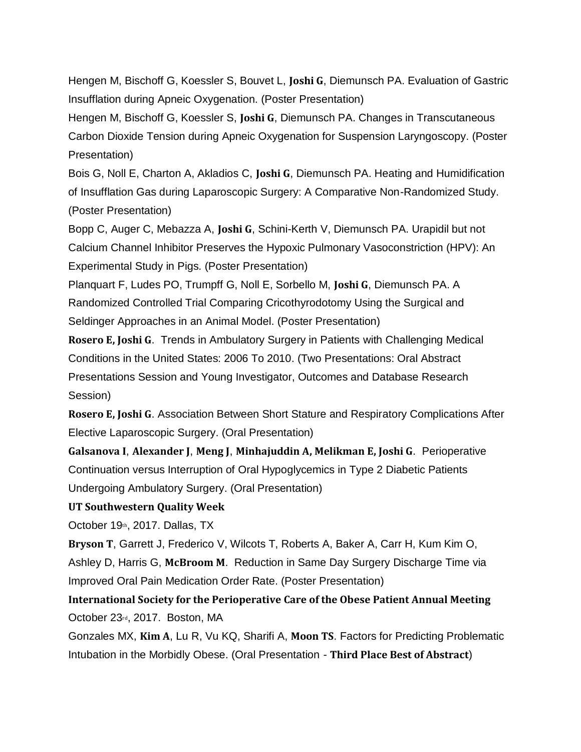Hengen M, Bischoff G, Koessler S, Bouvet L, **Joshi G**, Diemunsch PA. Evaluation of Gastric Insufflation during Apneic Oxygenation. (Poster Presentation)

Hengen M, Bischoff G, Koessler S, **Joshi G**, Diemunsch PA. Changes in Transcutaneous Carbon Dioxide Tension during Apneic Oxygenation for Suspension Laryngoscopy. (Poster Presentation)

Bois G, Noll E, Charton A, Akladios C, **Joshi G**, Diemunsch PA. Heating and Humidification of Insufflation Gas during Laparoscopic Surgery: A Comparative Non-Randomized Study. (Poster Presentation)

Bopp C, Auger C, Mebazza A, **Joshi G**, Schini-Kerth V, Diemunsch PA. Urapidil but not Calcium Channel Inhibitor Preserves the Hypoxic Pulmonary Vasoconstriction (HPV): An Experimental Study in Pigs. (Poster Presentation)

Planquart F, Ludes PO, Trumpff G, Noll E, Sorbello M, **Joshi G**, Diemunsch PA. A Randomized Controlled Trial Comparing Cricothyrodotomy Using the Surgical and Seldinger Approaches in an Animal Model. (Poster Presentation)

**Rosero E, Joshi G**. Trends in Ambulatory Surgery in Patients with Challenging Medical Conditions in the United States: 2006 To 2010. (Two Presentations: Oral Abstract Presentations Session and Young Investigator, Outcomes and Database Research Session)

**Rosero E, Joshi G**. Association Between Short Stature and Respiratory Complications After Elective Laparoscopic Surgery. (Oral Presentation)

**Galsanova I**, **Alexander J**, **Meng J**, **Minhajuddin A, Melikman E, Joshi G**. Perioperative Continuation versus Interruption of Oral Hypoglycemics in Type 2 Diabetic Patients Undergoing Ambulatory Surgery. (Oral Presentation)

#### **UT Southwestern Quality Week**

October 19th, 2017. Dallas, TX

**Bryson T**, Garrett J, Frederico V, Wilcots T, Roberts A, Baker A, Carr H, Kum Kim O, Ashley D, Harris G, **McBroom M**. Reduction in Same Day Surgery Discharge Time via Improved Oral Pain Medication Order Rate. (Poster Presentation)

**International Society for the Perioperative Care of the Obese Patient Annual Meeting** October 23rd, 2017. Boston, MA

Gonzales MX, **Kim A**, Lu R, Vu KQ, Sharifi A, **Moon TS**. Factors for Predicting Problematic Intubation in the Morbidly Obese. (Oral Presentation - **Third Place Best of Abstract**)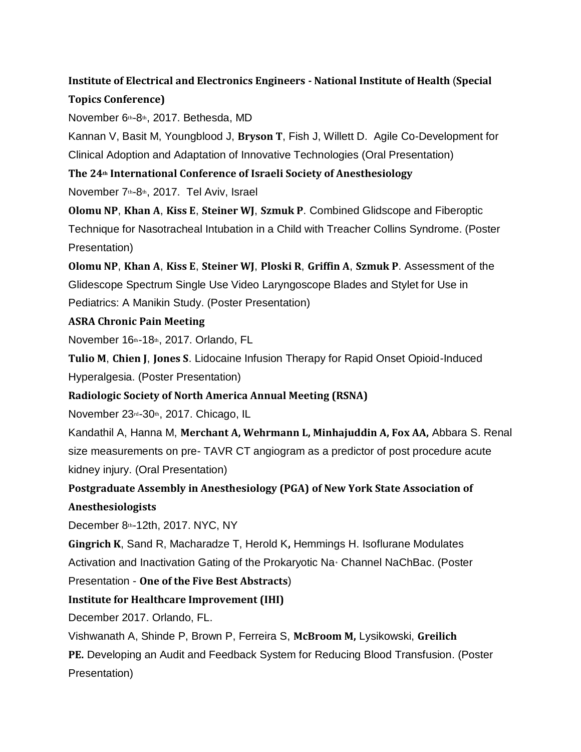# **Institute of Electrical and Electronics Engineers - National Institute of Health** (**Special Topics Conference)**

November 6th-8th, 2017. Bethesda, MD

Kannan V, Basit M, Youngblood J, **Bryson T**, Fish J, Willett D. Agile Co-Development for Clinical Adoption and Adaptation of Innovative Technologies (Oral Presentation)

**The 24th International Conference of Israeli Society of Anesthesiology**

November 7th-8th, 2017. Tel Aviv, Israel

**Olomu NP**, **Khan A**, **Kiss E**, **Steiner WJ**, **Szmuk P**. Combined Glidscope and Fiberoptic Technique for Nasotracheal Intubation in a Child with Treacher Collins Syndrome. (Poster Presentation)

**Olomu NP**, **Khan A**, **Kiss E**, **Steiner WJ**, **Ploski R**, **Griffin A**, **Szmuk P**. Assessment of the Glidescope Spectrum Single Use Video Laryngoscope Blades and Stylet for Use in Pediatrics: A Manikin Study. (Poster Presentation)

### **ASRA Chronic Pain Meeting**

November 16th-18th, 2017. Orlando, FL

**Tulio M**, **Chien J**, **Jones S**. Lidocaine Infusion Therapy for Rapid Onset Opioid-Induced Hyperalgesia. (Poster Presentation)

# **Radiologic Society of North America Annual Meeting (RSNA)**

November 23rd-30th, 2017. Chicago, IL

Kandathil A, Hanna M, **Merchant A, Wehrmann L, Minhajuddin A, Fox AA,** Abbara S. Renal size measurements on pre- TAVR CT angiogram as a predictor of post procedure acute kidney injury. (Oral Presentation)

**Postgraduate Assembly in Anesthesiology (PGA) of New York State Association of Anesthesiologists**

December 8th-12th, 2017. NYC, NY

**Gingrich K**, Sand R, Macharadze T, Herold K**,** Hemmings H. Isoflurane Modulates Activation and Inactivation Gating of the Prokaryotic Na<sup>+</sup> Channel NaChBac. (Poster

Presentation - **One of the Five Best Abstracts**)

# **Institute for Healthcare Improvement (IHI)**

December 2017. Orlando, FL.

Vishwanath A, Shinde P, Brown P, Ferreira S, **McBroom M,** Lysikowski, **Greilich**

**PE.** Developing an Audit and Feedback System for Reducing Blood Transfusion. (Poster Presentation)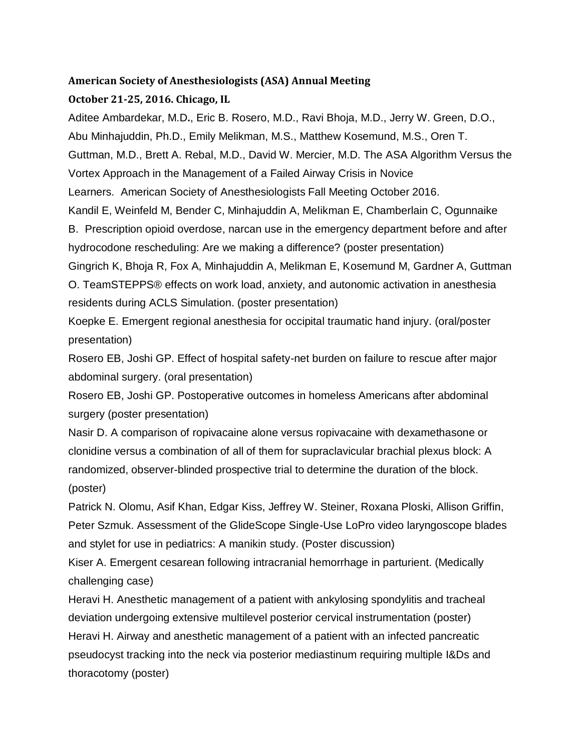### **American Society of Anesthesiologists (ASA) Annual Meeting**

### **October 21-25, 2016. Chicago, IL**

Aditee Ambardekar, M.D**.**, Eric B. Rosero, M.D., Ravi Bhoja, M.D., Jerry W. Green, D.O., Abu Minhajuddin, Ph.D., Emily Melikman, M.S., Matthew Kosemund, M.S., Oren T. Guttman, M.D., Brett A. Rebal, M.D., David W. Mercier, M.D. The ASA Algorithm Versus the Vortex Approach in the Management of a Failed Airway Crisis in Novice Learners. American Society of Anesthesiologists Fall Meeting October 2016. Kandil E, Weinfeld M, Bender C, Minhajuddin A, Melikman E, Chamberlain C, Ogunnaike B. Prescription opioid overdose, narcan use in the emergency department before and after hydrocodone rescheduling: Are we making a difference? (poster presentation) Gingrich K, Bhoja R, Fox A, Minhajuddin A, Melikman E, Kosemund M, Gardner A, Guttman O. TeamSTEPPS® effects on work load, anxiety, and autonomic activation in anesthesia residents during ACLS Simulation. (poster presentation)

Koepke E. Emergent regional anesthesia for occipital traumatic hand injury. (oral/poster presentation)

Rosero EB, Joshi GP. Effect of hospital safety-net burden on failure to rescue after major abdominal surgery. (oral presentation)

Rosero EB, Joshi GP. Postoperative outcomes in homeless Americans after abdominal surgery (poster presentation)

Nasir D. A comparison of ropivacaine alone versus ropivacaine with dexamethasone or clonidine versus a combination of all of them for supraclavicular brachial plexus block: A randomized, observer-blinded prospective trial to determine the duration of the block. (poster)

Patrick N. Olomu, Asif Khan, Edgar Kiss, Jeffrey W. Steiner, Roxana Ploski, Allison Griffin, Peter Szmuk. Assessment of the GlideScope Single-Use LoPro video laryngoscope blades and stylet for use in pediatrics: A manikin study. (Poster discussion)

Kiser A. Emergent cesarean following intracranial hemorrhage in parturient. (Medically challenging case)

Heravi H. Anesthetic management of a patient with ankylosing spondylitis and tracheal deviation undergoing extensive multilevel posterior cervical instrumentation (poster) Heravi H. Airway and anesthetic management of a patient with an infected pancreatic pseudocyst tracking into the neck via posterior mediastinum requiring multiple I&Ds and thoracotomy (poster)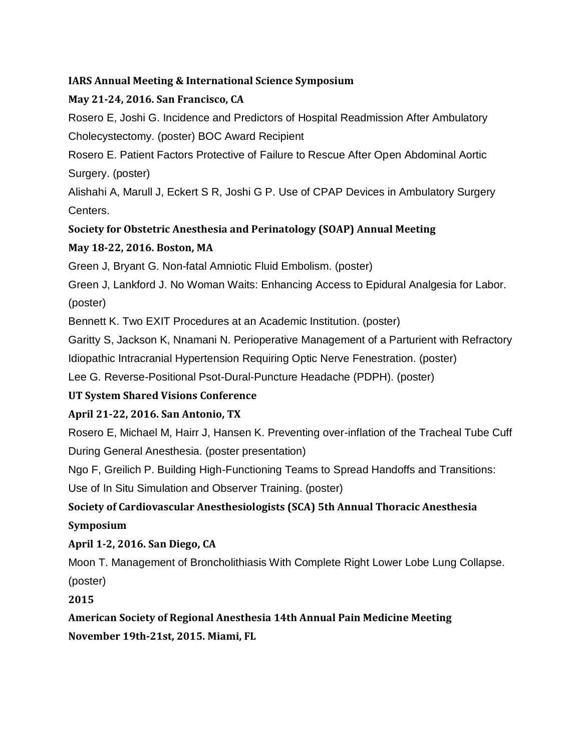# **IARS Annual Meeting & International Science Symposium**

# **May 21-24, 2016. San Francisco, CA**

Rosero E, Joshi G. Incidence and Predictors of Hospital Readmission After Ambulatory Cholecystectomy. (poster) BOC Award Recipient

Rosero E. Patient Factors Protective of Failure to Rescue After Open Abdominal Aortic Surgery. (poster)

Alishahi A, Marull J, Eckert S R, Joshi G P. Use of CPAP Devices in Ambulatory Surgery Centers.

# **Society for Obstetric Anesthesia and Perinatology (SOAP) Annual Meeting**

# **May 18-22, 2016. Boston, MA**

Green J, Bryant G. Non-fatal Amniotic Fluid Embolism. (poster)

Green J, Lankford J. No Woman Waits: Enhancing Access to Epidural Analgesia for Labor. (poster)

Bennett K. Two EXIT Procedures at an Academic Institution. (poster)

Garitty S, Jackson K, Nnamani N. Perioperative Management of a Parturient with Refractory

Idiopathic Intracranial Hypertension Requiring Optic Nerve Fenestration. (poster)

Lee G. Reverse-Positional Psot-Dural-Puncture Headache (PDPH). (poster)

# **UT System Shared Visions Conference**

# **April 21-22, 2016. San Antonio, TX**

Rosero E, Michael M, Hairr J, Hansen K. Preventing over-inflation of the Tracheal Tube Cuff During General Anesthesia. (poster presentation)

Ngo F, Greilich P. Building High-Functioning Teams to Spread Handoffs and Transitions:

Use of In Situ Simulation and Observer Training. (poster)

# **Society of Cardiovascular Anesthesiologists (SCA) 5th Annual Thoracic Anesthesia Symposium**

# **April 1-2, 2016. San Diego, CA**

Moon T. Management of Broncholithiasis With Complete Right Lower Lobe Lung Collapse.

(poster)

**2015**

**American Society of Regional Anesthesia 14th Annual Pain Medicine Meeting November 19th-21st, 2015. Miami, FL**